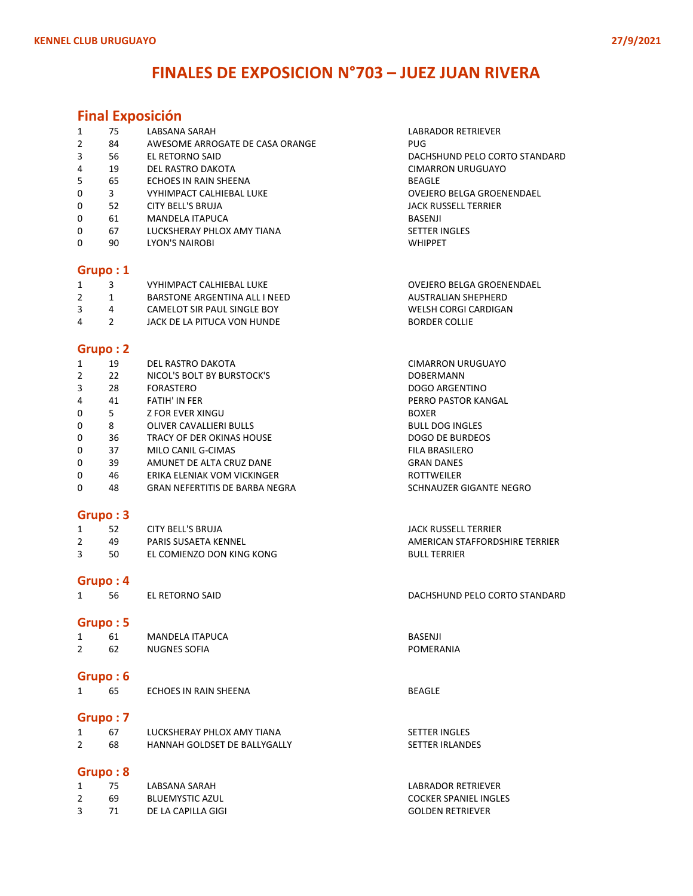## FINALES DE EXPOSICION N°703 – JUEZ JUAN RIVERA

### Final Exposición

|              | 75      | LABSANA SARAH                   | LABRADOR RETRIEVER               |  |  |  |
|--------------|---------|---------------------------------|----------------------------------|--|--|--|
| 2            | 84      | AWESOME ARROGATE DE CASA ORANGE | PUG.                             |  |  |  |
| 3            | 56      | EL RETORNO SAID                 | DACHSHUND PELO CORTO STANDARD    |  |  |  |
| 4            | 19      | DEL RASTRO DAKOTA               | CIMARRON URUGUAYO                |  |  |  |
| 5            | 65      | ECHOES IN RAIN SHEENA           | <b>BEAGLE</b>                    |  |  |  |
| 0            | 3       | <b>VYHIMPACT CALHIEBAL LUKE</b> | <b>OVEJERO BELGA GROENENDAEL</b> |  |  |  |
| 0            | 52      | CITY BELL'S BRUJA               | <b>JACK RUSSELL TERRIER</b>      |  |  |  |
| 0            | 61      | MANDELA ITAPUCA                 | BASENJI                          |  |  |  |
| $\mathbf{0}$ | 67      | LUCKSHERAY PHLOX AMY TIANA      | <b>SETTER INGLES</b>             |  |  |  |
| 0            | 90      | <b>LYON'S NAIROBI</b>           | <b>WHIPPET</b>                   |  |  |  |
|              |         |                                 |                                  |  |  |  |
|              | Gruno:1 |                                 |                                  |  |  |  |

#### Grupo : 1

|  | VYHIMPACT CALHIEBAL LUKE      | OVEJERO BELGA GROENENDAEL |
|--|-------------------------------|---------------------------|
|  | BARSTONE ARGENTINA ALL I NEED | AUSTRALIAN SHEPHERD       |
|  | CAMELOT SIR PAUL SINGLE BOY   | WELSH CORGI CARDIGAN      |

4 2 JACK DE LA PITUCA VON HUNDE BORDER COLLIE

#### Grupo : 2

| 1            | 19 | DEL RASTRO DAKOTA                     | CIMARRON URUGUAYO       |
|--------------|----|---------------------------------------|-------------------------|
| 2            | 22 | NICOL'S BOLT BY BURSTOCK'S            | <b>DOBERMANN</b>        |
| 3            | 28 | FORASTERO                             | DOGO ARGENTINO          |
| 4            | 41 | <b>FATIH' IN FFR</b>                  | PERRO PASTOR KANGAL     |
| 0            | 5. | Z FOR EVER XINGU                      | <b>BOXER</b>            |
| 0            | 8  | <b>OLIVER CAVALLIERI BULLS</b>        | <b>BULL DOG INGLES</b>  |
| $\mathbf{0}$ | 36 | TRACY OF DER OKINAS HOUSE             | DOGO DE BURDEOS         |
| 0            | 37 | MILO CANIL G-CIMAS                    | <b>FILA BRASILERO</b>   |
| 0            | 39 | AMUNET DE ALTA CRUZ DANE              | <b>GRAN DANES</b>       |
| $\Omega$     | 46 | ERIKA ELENIAK VOM VICKINGER           | <b>ROTTWEILER</b>       |
| 0            | 48 | <b>GRAN NEFERTITIS DE BARBA NEGRA</b> | SCHNAUZER GIGANTE NEGRO |

JACK RUSSELL TERRIER

**BULL TERRIER** 

AMERICAN STAFFORDSHIRE TERRIER

#### Grupo : 3

|   | 52  | CITY BELL'S BRUJA         |  |
|---|-----|---------------------------|--|
|   | 49  | PARIS SUSAETA KENNEL      |  |
| ર | 50. | EL COMIENZO DON KING KONG |  |

#### Grupo : 4

1 56 EL RETORNO SAID DACHSHUND PELO CORTO STANDARD

#### Grupo : 5

| 61 | <b>MANDELA ITAPUCA</b> | <b>BASENJI</b> |
|----|------------------------|----------------|
|    |                        |                |
| 62 | <b>NUGNES SOFIA</b>    | POMERANIA      |

#### Grupo : 6

| 65 | ECHOES IN RAIN SHEENA | <b>BEAGLE</b> |
|----|-----------------------|---------------|
|    |                       |               |

### Grupo : 7

|    | LUCKSHERAY PHLOX AMY TIANA          | <b>SETTER INGLES</b>   |
|----|-------------------------------------|------------------------|
| 68 | <b>HANNAH GOLDSET DE BALLYGALLY</b> | <b>SETTER IRLANDES</b> |

### Grupo : 8

| 75. | LABSANA SARAH      | LABRADOR RETRIEVER           |
|-----|--------------------|------------------------------|
| 69  | BLUEMYSTIC AZUL    | <b>COCKER SPANIEL INGLES</b> |
|     | DE LA CAPILLA GIGI | <b>GOLDEN RETRIEVER</b>      |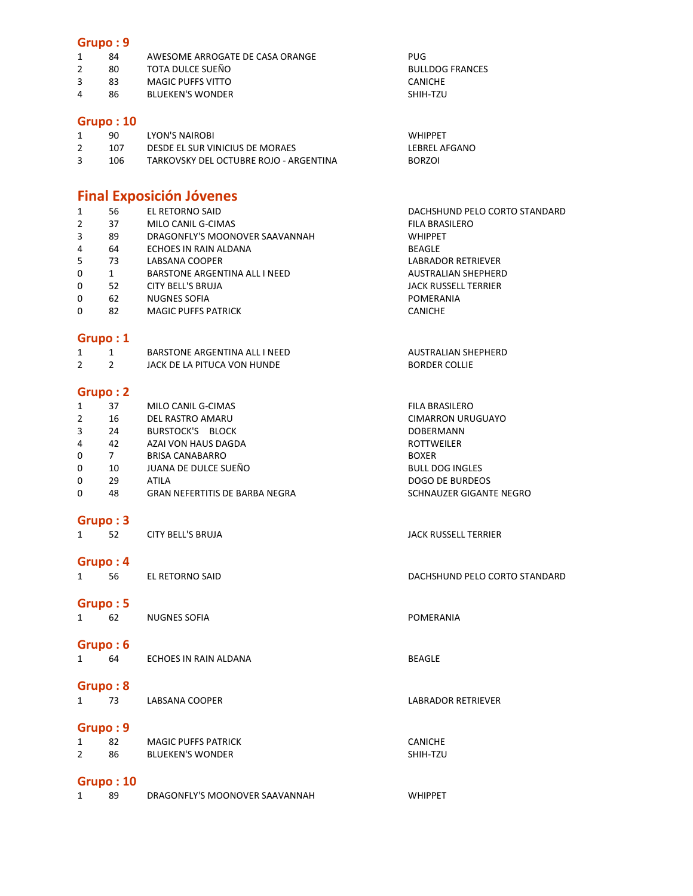### Grupo : 9

|  | AWESOME ARROGATE DE CASA ORANGE | PUG |
|--|---------------------------------|-----|
|  |                                 |     |

- 2 80 TOTA DULCE SUEÑO BULLDOG FRANCES<br>2 83 MAGIC PUFFS VITTO CANICHE CANICHE
- 3 83 MAGIC PUFFS VITTO<br>4 86 BLUEKEN'S WONDER CANICHE SHIH-TZU
- 86 BLUEKEN'S WONDER

### Grupo : 10

| 90  | LYON'S NAIROBI                         | <b>WHIPPFT</b> |
|-----|----------------------------------------|----------------|
| 107 | DESDE EL SUR VINICIUS DE MORAES        | LEBREL AFGANO  |
| 106 | TARKOVSKY DEL OCTUBRE ROJO - ARGENTINA | <b>BORZOI</b>  |

## Final Exposición Jóvenes

| 1<br>$\overline{2}$ | 56<br>37       | EL RETORNO SAID<br>MILO CANIL G-CIMAS | DACHSHUND PELO CORTO STANDARD<br>FILA BRASILERO |
|---------------------|----------------|---------------------------------------|-------------------------------------------------|
| 3                   | 89             | DRAGONFLY'S MOONOVER SAAVANNAH        | <b>WHIPPET</b>                                  |
| 4                   | 64             | ECHOES IN RAIN ALDANA                 | <b>BEAGLE</b>                                   |
| 5                   | 73             | LABSANA COOPER                        | <b>LABRADOR RETRIEVER</b>                       |
| 0                   | $1 \quad$      | BARSTONE ARGENTINA ALL I NEED         | <b>AUSTRALIAN SHEPHERD</b>                      |
| 0                   | 52             | CITY BELL'S BRUJA                     | <b>JACK RUSSELL TERRIER</b>                     |
| 0                   | 62             | <b>NUGNES SOFIA</b>                   | POMERANIA                                       |
| 0                   | 82             | <b>MAGIC PUFFS PATRICK</b>            | <b>CANICHE</b>                                  |
|                     | Grupo: 1       |                                       |                                                 |
| 1                   | $\mathbf{1}$   | BARSTONE ARGENTINA ALL I NEED         | <b>AUSTRALIAN SHEPHERD</b>                      |
| $\overline{2}$      | $\overline{2}$ | JACK DE LA PITUCA VON HUNDE           | <b>BORDER COLLIE</b>                            |
|                     | Grupo: 2       |                                       |                                                 |
| $\mathbf{1}$        | 37             | MILO CANIL G-CIMAS                    | FILA BRASILERO                                  |
| $\overline{2}$      | 16             | DEL RASTRO AMARU                      | <b>CIMARRON URUGUAYO</b>                        |
| 3                   | 24             | <b>BURSTOCK'S BLOCK</b>               | DOBERMANN                                       |
| 4                   | 42             | AZAI VON HAUS DAGDA                   | ROTTWEILER                                      |
| 0                   | 7              | <b>BRISA CANABARRO</b>                | <b>BOXER</b>                                    |
| 0                   | 10             | JUANA DE DULCE SUEÑO                  | <b>BULL DOG INGLES</b>                          |
| 0                   | 29             | <b>ATILA</b>                          | <b>DOGO DE BURDEOS</b>                          |
| 0                   | 48             | <b>GRAN NEFERTITIS DE BARBA NEGRA</b> | SCHNAUZER GIGANTE NEGRO                         |
|                     | Grupo: 3       |                                       |                                                 |
| $\mathbf{1}$        | 52             | <b>CITY BELL'S BRUJA</b>              | <b>JACK RUSSELL TERRIER</b>                     |
|                     | Grupo: 4       |                                       |                                                 |
| $\mathbf{1}$        | 56             | EL RETORNO SAID                       | DACHSHUND PELO CORTO STANDARD                   |
|                     |                |                                       |                                                 |
|                     | Grupo: 5       |                                       |                                                 |
| $\mathbf{1}$        | 62             | <b>NUGNES SOFIA</b>                   | POMERANIA                                       |
|                     | Grupo: 6       |                                       |                                                 |
| $\mathbf{1}$        | 64             | ECHOES IN RAIN ALDANA                 | <b>BEAGLE</b>                                   |
|                     |                |                                       |                                                 |
|                     | Grupo: 8       |                                       |                                                 |
| 1                   | 73             | LABSANA COOPER                        | <b>LABRADOR RETRIEVER</b>                       |
|                     |                |                                       |                                                 |
|                     | Grupo: 9       |                                       |                                                 |
| 1                   | 82             | <b>MAGIC PUFFS PATRICK</b>            | <b>CANICHE</b>                                  |
| $\overline{2}$      | 86             | <b>BLUEKEN'S WONDER</b>               | SHIH-TZU                                        |
|                     | Grupo: 10      |                                       |                                                 |
| 1                   | 89             | DRAGONFLY'S MOONOVER SAAVANNAH        | <b>WHIPPET</b>                                  |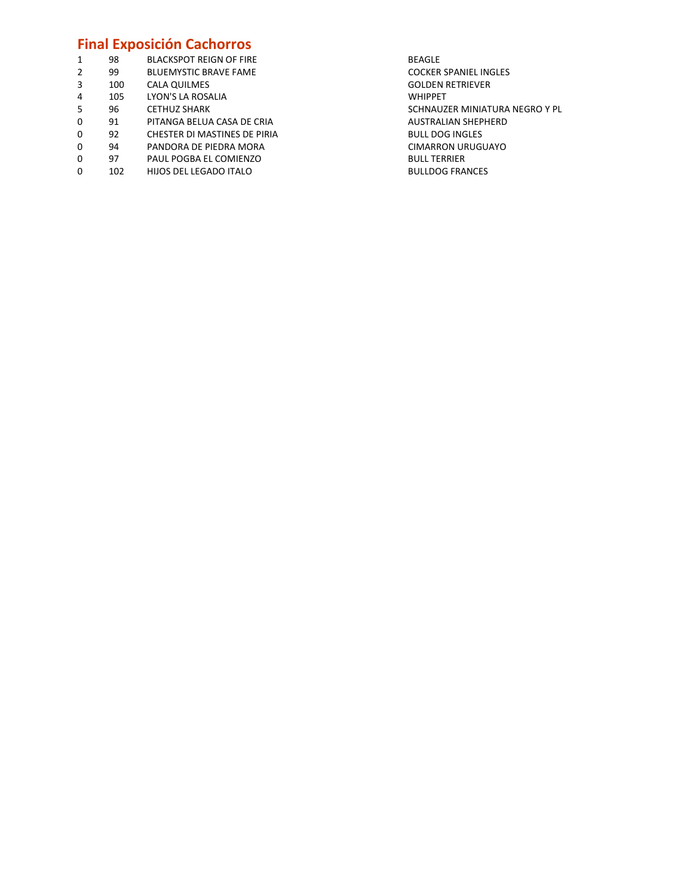### Final Exposición Cachorros

| 1           | 98  | <b>BLACKSPOT REIGN OF FIRE</b> | <b>BEAGLE</b>   |
|-------------|-----|--------------------------------|-----------------|
| 2           | 99  | <b>BLUEMYSTIC BRAVE FAME</b>   | <b>COCKER</b>   |
| 3           | 100 | CALA QUILMES                   | <b>GOLDEN</b>   |
| 4           | 105 | LYON'S LA ROSALIA              | <b>WHIPPE</b>   |
| 5           | 96  | <b>CETHUZ SHARK</b>            | SCHNAU          |
| 0           | 91  | PITANGA BELUA CASA DE CRIA     | <b>AUSTRAI</b>  |
| $\mathbf 0$ | 92  | CHESTER DI MASTINES DE PIRIA   | <b>BULL DO</b>  |
| $\mathbf 0$ | 94  | PANDORA DE PIEDRA MORA         | <b>CIMARR</b>   |
| 0           | 97  | PAUL POGBA EL COMIENZO         | <b>BULL TEI</b> |
| 0           | 102 | HIJOS DEL LEGADO ITALO         | <b>BULLDO</b>   |
|             |     |                                |                 |

COCKER SPANIEL INGLES GOLDEN RETRIEVER WHIPPET SCHNAUZER MINIATURA NEGRO Y PL AUSTRALIAN SHEPHERD BULL DOG INGLES CIMARRON URUGUAYO **BULL TERRIER** BULLDOG FRANCES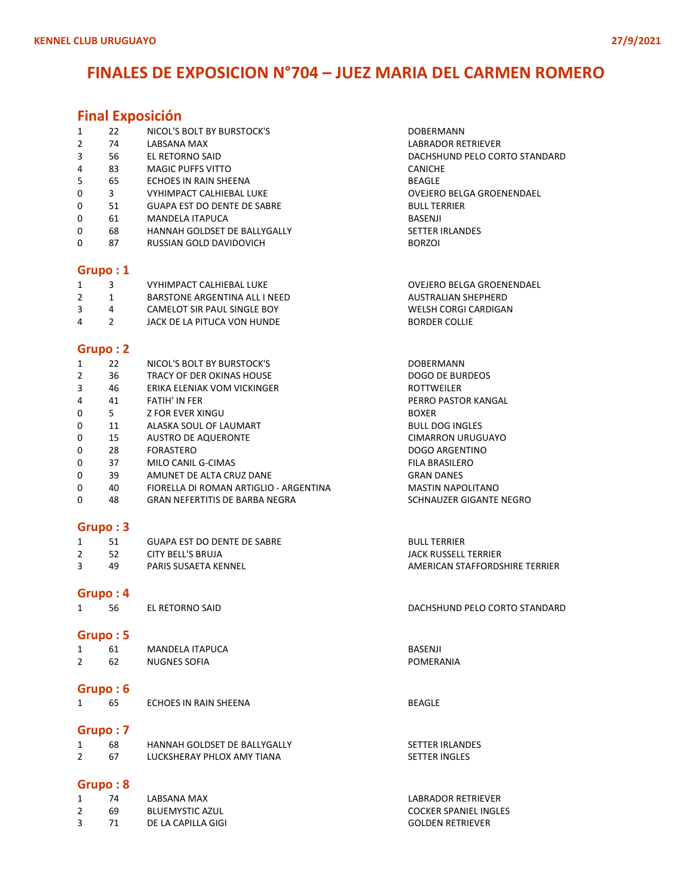### FINALES DE EXPOSICION N°704 – JUEZ MARIA DEL CARMEN ROMERO

### Final Exposición

| 1 | 22       | NICOL'S BOLT BY BURSTOCK'S         | <b>DOBERMANN</b>              |  |  |  |  |
|---|----------|------------------------------------|-------------------------------|--|--|--|--|
| 2 | 74       | LABSANA MAX                        | LABRADOR RETRIEVER            |  |  |  |  |
| 3 | 56       | EL RETORNO SAID                    | DACHSHUND PELO CORTO STANDARD |  |  |  |  |
| 4 | 83       | <b>MAGIC PUFFS VITTO</b>           | <b>CANICHE</b>                |  |  |  |  |
| 5 | 65       | ECHOES IN RAIN SHEENA              | <b>BEAGLE</b>                 |  |  |  |  |
| 0 | 3        | VYHIMPACT CALHIFRAL LUKF           | OVEJERO BELGA GROENENDAEL     |  |  |  |  |
| 0 | 51       | <b>GUAPA EST DO DENTE DE SABRE</b> | <b>BULL TERRIER</b>           |  |  |  |  |
| 0 | 61       | MANDELA ITAPUCA                    | BASENJI                       |  |  |  |  |
| 0 | 68       | HANNAH GOLDSET DE BALLYGALLY       | <b>SETTER IRLANDES</b>        |  |  |  |  |
| 0 | 87       | RUSSIAN GOLD DAVIDOVICH            | <b>BORZOI</b>                 |  |  |  |  |
|   |          |                                    |                               |  |  |  |  |
|   | Grupo: 1 |                                    |                               |  |  |  |  |

### 1 3 VYHIMPACT CALHIEBAL LUKE OVEJERO BELGA GROENENDAEL BARSTONE ARGENTINA ALL I NEED AUSTRALIAN SHEPHERD CAMELOT SIR PAUL SINGLE BOY WELSH CORGI CARDIGAN

4 2 JACK DE LA PITUCA VON HUNDE BORDER COLLIE

### Grupo : 2

| 1 | 22 | NICOL'S BOLT BY BURSTOCK'S             | <b>DOBERMANN</b>         |
|---|----|----------------------------------------|--------------------------|
| 2 | 36 | TRACY OF DER OKINAS HOUSE              | DOGO DE BURDEOS          |
| 3 | 46 | ERIKA ELENIAK VOM VICKINGER            | <b>ROTTWEILER</b>        |
| 4 | 41 | <b>FATIH' IN FER</b>                   | PERRO PASTOR KANGAL      |
| 0 | 5. | Z FOR EVER XINGU                       | <b>BOXER</b>             |
| 0 | 11 | ALASKA SOUL OF LAUMART                 | <b>BULL DOG INGLES</b>   |
| 0 | 15 | <b>AUSTRO DE AQUERONTE</b>             | <b>CIMARRON URUGUAYO</b> |
| 0 | 28 | <b>FORASTERO</b>                       | DOGO ARGENTINO           |
| 0 | 37 | MILO CANIL G-CIMAS                     | FILA BRASILERO           |
| 0 | 39 | AMUNET DE ALTA CRUZ DANE               | <b>GRAN DANES</b>        |
| 0 | 40 | FIORELLA DI ROMAN ARTIGLIO - ARGENTINA | <b>MASTIN NAPOLITANO</b> |
| 0 | 48 | <b>GRAN NEFERTITIS DE BARBA NEGRA</b>  | SCHNAUZER GIGANTE NEGRO  |

#### Grupo : 3

|    | GUAPA EST DO DENTE DE SABRE | <b>BULL TERRIER</b>            |
|----|-----------------------------|--------------------------------|
| 52 | CITY BELL'S BRUJA           | JACK RUSSELL TERRIER           |
| 49 | PARIS SUSAETA KENNEL        | AMERICAN STAFFORDSHIRE TERRIER |

#### Grupo : 4

| יי | EL RET( |
|----|---------|
|    |         |

#### Grupo : 5

|   |    | <b>MANDELA ITAPUCA</b> | <b>BASENJI</b> |
|---|----|------------------------|----------------|
| ۷ | 62 | NUGNES SOFIA           | POMERANIA      |

# **Grupo : 6**<br>1 65

1 65 ECHOES IN RAIN SHEENA BEAGLE

### Grupo : 7

| 68 | HANNAH GOLDSET DE BALLYGALLY | <b>SETTER IRLANDES</b> |
|----|------------------------------|------------------------|
|    | LUCKSHERAY PHLOX AMY TIANA   | SETTER INGLES          |

### Grupo : 8

|   | 74 | <b>LABSANA MAX</b>     |  |
|---|----|------------------------|--|
| 2 | 69 | <b>BLUEMYSTIC AZUL</b> |  |
| 3 | 71 | DE LA CAPILLA GIGI     |  |

|             | ___ |  | ___ |  |
|-------------|-----|--|-----|--|
|             |     |  |     |  |
|             |     |  |     |  |
|             |     |  |     |  |
|             |     |  |     |  |
| ILL TERRIER |     |  |     |  |

#### 1 56 EL RETORNO SAID DACHSHUND PELO CORTO STANDARD

LABRADOR RETRIEVER COCKER SPANIEL INGLES **GOLDEN RETRIEVER**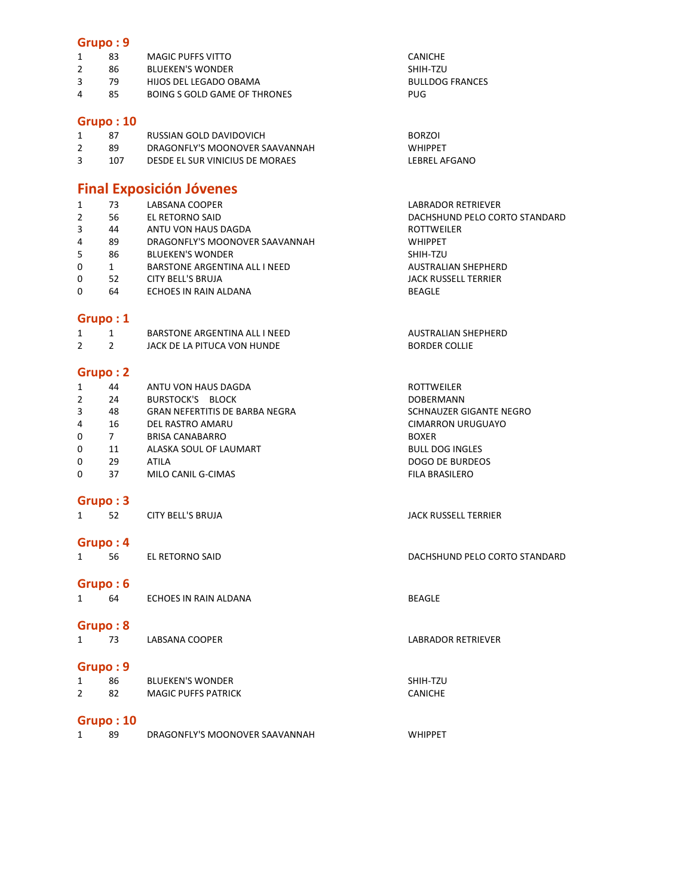#### Grupo : 9

|   | 83 | MAGIC PUFFS VITTO            | CANICHE                |
|---|----|------------------------------|------------------------|
|   | 86 | <b>BLUEKEN'S WONDER</b>      | SHIH-TZU               |
|   | 79 | HIJOS DEL LEGADO OBAMA       | <b>BULLDOG FRANCES</b> |
| 4 | 85 | BOING S GOLD GAME OF THRONES | PUG                    |
|   |    |                              |                        |

### Grupo : 10

| 87  | RUSSIAN GOLD DAVIDOVICH         | <b>BORZOI</b>  |
|-----|---------------------------------|----------------|
| 89  | DRAGONFLY'S MOONOVER SAAVANNAH  | <b>WHIPPFT</b> |
| 107 | DESDE EL SUR VINICIUS DE MORAES | LEBREL AFGANO  |

### Final Exposición Jóvenes

|              | 73 | LABSANA COOPER                 | <b>LABRADOR RETRIEVER</b>     |
|--------------|----|--------------------------------|-------------------------------|
| 2            | 56 | EL RETORNO SAID                | DACHSHUND PELO CORTO STANDARD |
| 3            | 44 | ANTU VON HAUS DAGDA            | <b>ROTTWEILER</b>             |
| 4            | 89 | DRAGONFLY'S MOONOVER SAAVANNAH | <b>WHIPPET</b>                |
| 5            | 86 | <b>BLUEKEN'S WONDER</b>        | SHIH-TZU                      |
| $\Omega$     |    | BARSTONE ARGENTINA ALL I NEED  | <b>AUSTRALIAN SHEPHERD</b>    |
| $\Omega$     | 52 | CITY BELL'S BRUJA              | JACK RUSSELL TERRIER          |
| $\mathbf{0}$ | 64 | ECHOES IN RAIN ALDANA          | <b>BEAGLE</b>                 |
|              |    |                                |                               |

### Grupo : 1

|  | BARSTONE ARGENTINA ALL I NEED | AUSTRALIAN SHEPHERD  |
|--|-------------------------------|----------------------|
|  | JACK DE LA PITUCA VON HUNDE   | <b>BORDER COLLIE</b> |

### Grupo : 2

| 1              | 44 | ANTU VON HAUS DAGDA                   | <b>ROTTWEILER</b>        |
|----------------|----|---------------------------------------|--------------------------|
| 2              | 24 | BURSTOCK'S BLOCK                      | <b>DOBERMANN</b>         |
| 3              | 48 | <b>GRAN NEFERTITIS DE BARBA NEGRA</b> | SCHNAUZER GIGANTE NEGRO  |
| $\overline{4}$ | 16 | DEL RASTRO AMARU                      | <b>CIMARRON URUGUAYO</b> |
| $\Omega$       |    | <b>BRISA CANABARRO</b>                | <b>BOXER</b>             |
| $\mathbf{0}$   | 11 | ALASKA SOUL OF LAUMART                | <b>BULL DOG INGLES</b>   |
| 0              | 29 | <b>ATILA</b>                          | DOGO DE BURDEOS          |
| 0              | 37 | MILO CANIL G-CIMAS                    | <b>FILA BRASILERO</b>    |

### Grupo : 3

1 52 CITY BELL'S BRUJA **CITY BELL'S BRUJA JACK RUSSELL TERRIER** 

### Grupo : 4

1 56 EL RETORNO SAID DACHSHUND PELO CORTO STANDARD

#### Grupo : 6

| 64 | ECHOES IN RAIN ALDANA | BEAGLE |
|----|-----------------------|--------|
|    |                       |        |

#### Grupo : 8

1 73 LABSANA COOPER LABRADOR RETRIEVER

### Grupo : 9

| 86 | <b>BLUEKEN'S WONDER</b>    | SHIH-TZU       |
|----|----------------------------|----------------|
|    | <b>MAGIC PUFFS PATRICK</b> | <b>CANICHE</b> |

### Grupo : 10

|  | DRAGONFLY'S MOONOVER SAAVANNAH | <b>WHIPPE</b> |
|--|--------------------------------|---------------|
|  |                                |               |